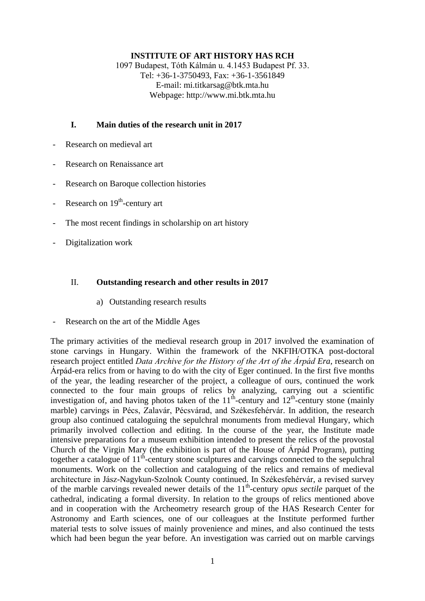# **INSTITUTE OF ART HISTORY HAS RCH**

1097 Budapest, Tóth Kálmán u. 4.1453 Budapest Pf. 33. Tel: +36-1-3750493, Fax: +36-1-3561849 E-mail: mi.titkarsag@btk.mta.hu Webpage: http://www.mi.btk.mta.hu

# **I. Main duties of the research unit in 2017**

- Research on medieval art
- Research on Renaissance art
- Research on Baroque collection histories
- Research on 19<sup>th</sup>-century art
- The most recent findings in scholarship on art history
- Digitalization work

## II. **Outstanding research and other results in 2017**

- a) Outstanding research results
- Research on the art of the Middle Ages

The primary activities of the medieval research group in 2017 involved the examination of stone carvings in Hungary. Within the framework of the NKFIH/OTKA post-doctoral research project entitled *Data Archive for the History of the Art of the Árpád Era*, research on Árpád-era relics from or having to do with the city of Eger continued. In the first five months of the year, the leading researcher of the project, a colleague of ours, continued the work connected to the four main groups of relics by analyzing, carrying out a scientific investigation of, and having photos taken of the  $11<sup>th</sup>$ -century and  $12<sup>th</sup>$ -century stone (mainly marble) carvings in Pécs, Zalavár, Pécsvárad, and Székesfehérvár. In addition, the research group also continued cataloguing the sepulchral monuments from medieval Hungary, which primarily involved collection and editing. In the course of the year, the Institute made intensive preparations for a museum exhibition intended to present the relics of the provostal Church of the Virgin Mary (the exhibition is part of the House of Árpád Program), putting together a catalogue of 11<sup>th</sup>-century stone sculptures and carvings connected to the sepulchral monuments. Work on the collection and cataloguing of the relics and remains of medieval architecture in Jász-Nagykun-Szolnok County continued. In Székesfehérvár, a revised survey of the marble carvings revealed newer details of the 11<sup>th</sup>-century *opus sectile* parquet of the cathedral, indicating a formal diversity. In relation to the groups of relics mentioned above and in cooperation with the Archeometry research group of the HAS Research Center for Astronomy and Earth sciences, one of our colleagues at the Institute performed further material tests to solve issues of mainly provenience and mines, and also continued the tests which had been begun the year before. An investigation was carried out on marble carvings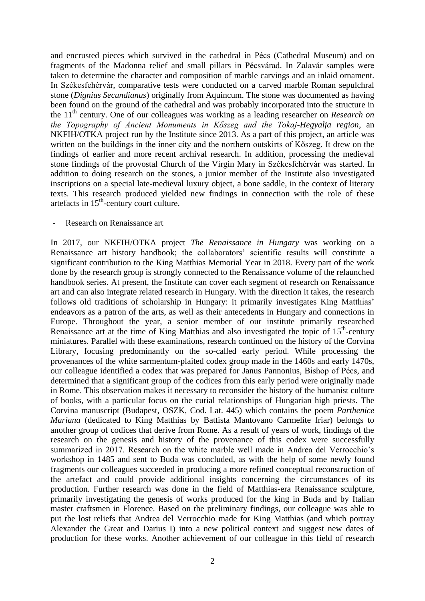and encrusted pieces which survived in the cathedral in Pécs (Cathedral Museum) and on fragments of the Madonna relief and small pillars in Pécsvárad. In Zalavár samples were taken to determine the character and composition of marble carvings and an inlaid ornament. In Székesfehérvár, comparative tests were conducted on a carved marble Roman sepulchral stone (*Dignius Secundianus*) originally from Aquincum. The stone was documented as having been found on the ground of the cathedral and was probably incorporated into the structure in the 11th century. One of our colleagues was working as a leading researcher on *Research on the Topography of Ancient Monuments in Kőszeg and the Tokaj-Hegyalja region*, an NKFIH/OTKA project run by the Institute since 2013. As a part of this project, an article was written on the buildings in the inner city and the northern outskirts of Kőszeg. It drew on the findings of earlier and more recent archival research. In addition, processing the medieval stone findings of the provostal Church of the Virgin Mary in Székesfehérvár was started. In addition to doing research on the stones, a junior member of the Institute also investigated inscriptions on a special late-medieval luxury object, a bone saddle, in the context of literary texts. This research produced yielded new findings in connection with the role of these artefacts in 15<sup>th</sup>-century court culture.

## Research on Renaissance art

In 2017, our NKFIH/OTKA project *The Renaissance in Hungary* was working on a Renaissance art history handbook; the collaborators' scientific results will constitute a significant contribution to the King Matthias Memorial Year in 2018. Every part of the work done by the research group is strongly connected to the Renaissance volume of the relaunched handbook series. At present, the Institute can cover each segment of research on Renaissance art and can also integrate related research in Hungary. With the direction it takes, the research follows old traditions of scholarship in Hungary: it primarily investigates King Matthias' endeavors as a patron of the arts, as well as their antecedents in Hungary and connections in Europe. Throughout the year, a senior member of our institute primarily researched Renaissance art at the time of King Matthias and also investigated the topic of 15<sup>th</sup>-century miniatures. Parallel with these examinations, research continued on the history of the Corvina Library, focusing predominantly on the so-called early period. While processing the provenances of the white sarmentum-plaited codex group made in the 1460s and early 1470s, our colleague identified a codex that was prepared for Janus Pannonius, Bishop of Pécs, and determined that a significant group of the codices from this early period were originally made in Rome. This observation makes it necessary to reconsider the history of the humanist culture of books, with a particular focus on the curial relationships of Hungarian high priests. The Corvina manuscript (Budapest, OSZK, Cod. Lat. 445) which contains the poem *Parthenice Mariana* (dedicated to King Matthias by Battista Mantovano Carmelite friar) belongs to another group of codices that derive from Rome. As a result of years of work, findings of the research on the genesis and history of the provenance of this codex were successfully summarized in 2017. Research on the white marble well made in Andrea del Verrocchio's workshop in 1485 and sent to Buda was concluded, as with the help of some newly found fragments our colleagues succeeded in producing a more refined conceptual reconstruction of the artefact and could provide additional insights concerning the circumstances of its production. Further research was done in the field of Matthias-era Renaissance sculpture, primarily investigating the genesis of works produced for the king in Buda and by Italian master craftsmen in Florence. Based on the preliminary findings, our colleague was able to put the lost reliefs that Andrea del Verrocchio made for King Matthias (and which portray Alexander the Great and Darius I) into a new political context and suggest new dates of production for these works. Another achievement of our colleague in this field of research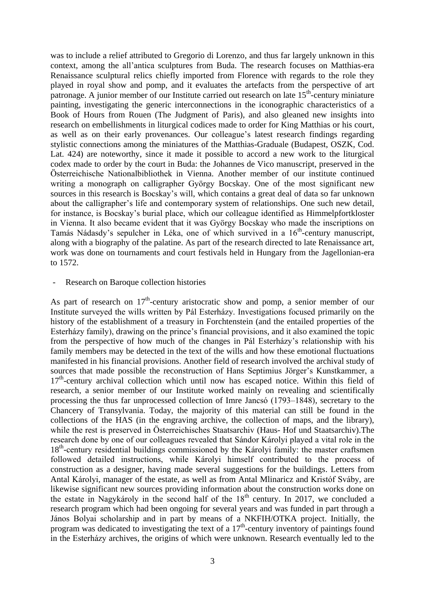was to include a relief attributed to Gregorio di Lorenzo, and thus far largely unknown in this context, among the all'antica sculptures from Buda. The research focuses on Matthias-era Renaissance sculptural relics chiefly imported from Florence with regards to the role they played in royal show and pomp, and it evaluates the artefacts from the perspective of art patronage. A junior member of our Institute carried out research on late  $15<sup>th</sup>$ -century miniature painting, investigating the generic interconnections in the iconographic characteristics of a Book of Hours from Rouen (The Judgment of Paris), and also gleaned new insights into research on embellishments in liturgical codices made to order for King Matthias or his court, as well as on their early provenances. Our colleague's latest research findings regarding stylistic connections among the miniatures of the Matthias-Graduale (Budapest, OSZK, Cod. Lat. 424) are noteworthy, since it made it possible to accord a new work to the liturgical codex made to order by the court in Buda: the Johannes de Vico manuscript, preserved in the Österreichische Nationalbibliothek in Vienna. Another member of our institute continued writing a monograph on calligrapher György Bocskay. One of the most significant new sources in this research is Bocskay's will, which contains a great deal of data so far unknown about the calligrapher's life and contemporary system of relationships. One such new detail, for instance, is Bocskay's burial place, which our colleague identified as Himmelpfortkloster in Vienna. It also became evident that it was György Bocskay who made the inscriptions on Tamás Nádasdy's sepulcher in Léka, one of which survived in a 16<sup>th</sup>-century manuscript, along with a biography of the palatine. As part of the research directed to late Renaissance art, work was done on tournaments and court festivals held in Hungary from the Jagellonian-era to 1572.

#### Research on Baroque collection histories

As part of research on  $17<sup>th</sup>$ -century aristocratic show and pomp, a senior member of our Institute surveyed the wills written by Pál Esterházy. Investigations focused primarily on the history of the establishment of a treasury in Forchtenstein (and the entailed properties of the Esterházy family), drawing on the prince's financial provisions, and it also examined the topic from the perspective of how much of the changes in Pál Esterházy's relationship with his family members may be detected in the text of the wills and how these emotional fluctuations manifested in his financial provisions. Another field of research involved the archival study of sources that made possible the reconstruction of Hans Septimius Jörger's Kunstkammer, a 17<sup>th</sup>-century archival collection which until now has escaped notice. Within this field of research, a senior member of our Institute worked mainly on revealing and scientifically processing the thus far unprocessed collection of Imre Jancsó (1793–1848), secretary to the Chancery of Transylvania. Today, the majority of this material can still be found in the collections of the HAS (in the engraving archive, the collection of maps, and the library), while the rest is preserved in Österreichisches Staatsarchiv (Haus- Hof und Staatsarchiv).The research done by one of our colleagues revealed that Sándor Károlyi played a vital role in the 18<sup>th</sup>-century residential buildings commissioned by the Károlyi family: the master craftsmen followed detailed instructions, while Károlyi himself contributed to the process of construction as a designer, having made several suggestions for the buildings. Letters from Antal Károlyi, manager of the estate, as well as from Antal Mlinaricz and Kristóf Sváby, are likewise significant new sources providing information about the construction works done on the estate in Nagykároly in the second half of the  $18<sup>th</sup>$  century. In 2017, we concluded a research program which had been ongoing for several years and was funded in part through a János Bolyai scholarship and in part by means of a NKFIH/OTKA project. Initially, the program was dedicated to investigating the text of a  $17<sup>th</sup>$ -century inventory of paintings found in the Esterházy archives, the origins of which were unknown. Research eventually led to the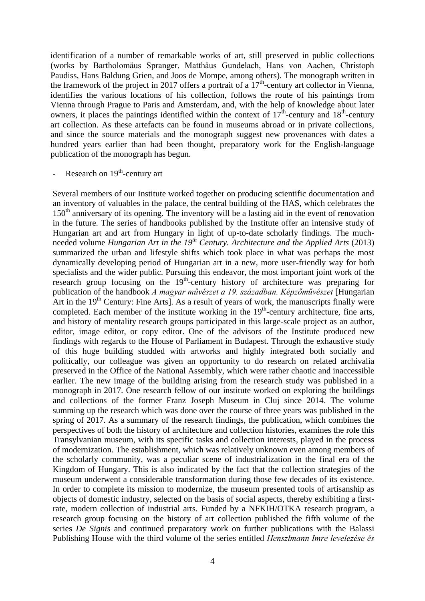identification of a number of remarkable works of art, still preserved in public collections (works by Bartholomäus Spranger, Matthäus Gundelach, Hans von Aachen, Christoph Paudiss, Hans Baldung Grien, and Joos de Mompe, among others). The monograph written in the framework of the project in 2017 offers a portrait of a  $17<sup>th</sup>$ -century art collector in Vienna, identifies the various locations of his collection, follows the route of his paintings from Vienna through Prague to Paris and Amsterdam, and, with the help of knowledge about later owners, it places the paintings identified within the context of  $17^{\text{th}}$ -century and  $18^{\text{th}}$ -century art collection. As these artefacts can be found in museums abroad or in private collections, and since the source materials and the monograph suggest new provenances with dates a hundred years earlier than had been thought, preparatory work for the English-language publication of the monograph has begun.

# - Research on 19<sup>th</sup>-century art

Several members of our Institute worked together on producing scientific documentation and an inventory of valuables in the palace, the central building of the HAS, which celebrates the 150<sup>th</sup> anniversary of its opening. The inventory will be a lasting aid in the event of renovation in the future. The series of handbooks published by the Institute offer an intensive study of Hungarian art and art from Hungary in light of up-to-date scholarly findings. The muchneeded volume *Hungarian Art in the 19th Century. Architecture and the Applied Arts* (2013) summarized the urban and lifestyle shifts which took place in what was perhaps the most dynamically developing period of Hungarian art in a new, more user-friendly way for both specialists and the wider public. Pursuing this endeavor, the most important joint work of the research group focusing on the  $19<sup>th</sup>$ -century history of architecture was preparing for publication of the handbook *A magyar művészet a 19. században. Képzőművészet* [Hungarian Art in the  $19<sup>th</sup>$  Century: Fine Arts]. As a result of years of work, the manuscripts finally were completed. Each member of the institute working in the 19<sup>th</sup>-century architecture, fine arts, and history of mentality research groups participated in this large-scale project as an author, editor, image editor, or copy editor. One of the advisors of the Institute produced new findings with regards to the House of Parliament in Budapest. Through the exhaustive study of this huge building studded with artworks and highly integrated both socially and politically, our colleague was given an opportunity to do research on related archivalia preserved in the Office of the National Assembly, which were rather chaotic and inaccessible earlier. The new image of the building arising from the research study was published in a monograph in 2017. One research fellow of our institute worked on exploring the buildings and collections of the former Franz Joseph Museum in Cluj since 2014. The volume summing up the research which was done over the course of three years was published in the spring of 2017. As a summary of the research findings, the publication, which combines the perspectives of both the history of architecture and collection histories, examines the role this Transylvanian museum, with its specific tasks and collection interests, played in the process of modernization. The establishment, which was relatively unknown even among members of the scholarly community, was a peculiar scene of industrialization in the final era of the Kingdom of Hungary. This is also indicated by the fact that the collection strategies of the museum underwent a considerable transformation during those few decades of its existence. In order to complete its mission to modernize, the museum presented tools of artisanship as objects of domestic industry, selected on the basis of social aspects, thereby exhibiting a firstrate, modern collection of industrial arts. Funded by a NFKIH/OTKA research program, a research group focusing on the history of art collection published the fifth volume of the series *De Signis* and continued preparatory work on further publications with the Balassi Publishing House with the third volume of the series entitled *Henszlmann Imre levelezése és*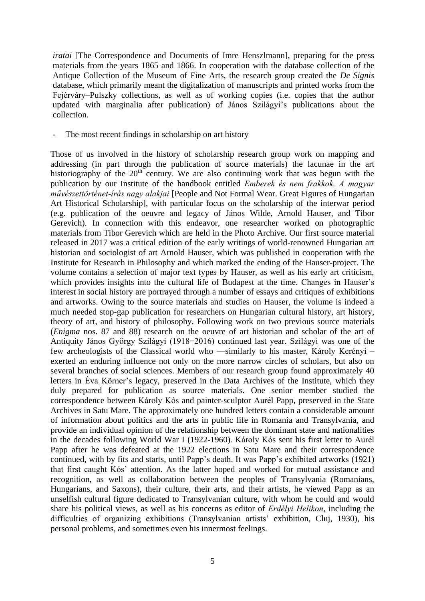*iratai* [The Correspondence and Documents of Imre Henszlmann], preparing for the press materials from the years 1865 and 1866. In cooperation with the database collection of the Antique Collection of the Museum of Fine Arts, the research group created the *De Signis* database, which primarily meant the digitalization of manuscripts and printed works from the Fejérváry–Pulszky collections, as well as of working copies (i.e. copies that the author updated with marginalia after publication) of János Szilágyi's publications about the collection.

The most recent findings in scholarship on art history

Those of us involved in the history of scholarship research group work on mapping and addressing (in part through the publication of source materials) the lacunae in the art historiography of the  $20<sup>th</sup>$  century. We are also continuing work that was begun with the publication by our Institute of the handbook entitled *Emberek és nem frakkok. A magyar művészettörténet-írás nagy alakjai* [People and Not Formal Wear. Great Figures of Hungarian Art Historical Scholarship], with particular focus on the scholarship of the interwar period (e.g. publication of the oeuvre and legacy of János Wilde, Arnold Hauser, and Tibor Gerevich). In connection with this endeavor, one researcher worked on photographic materials from Tibor Gerevich which are held in the Photo Archive. Our first source material released in 2017 was a critical edition of the early writings of world-renowned Hungarian art historian and sociologist of art Arnold Hauser, which was published in cooperation with the Institute for Research in Philosophy and which marked the ending of the Hauser-project. The volume contains a selection of major text types by Hauser, as well as his early art criticism, which provides insights into the cultural life of Budapest at the time. Changes in Hauser's interest in social history are portrayed through a number of essays and critiques of exhibitions and artworks. Owing to the source materials and studies on Hauser, the volume is indeed a much needed stop-gap publication for researchers on Hungarian cultural history, art history, theory of art, and history of philosophy. Following work on two previous source materials (*Enigma* nos. 87 and 88) research on the oeuvre of art historian and scholar of the art of Antiquity János György Szilágyi (1918−2016) continued last year. Szilágyi was one of the few archeologists of the Classical world who ––similarly to his master, Károly Kerényi – exerted an enduring influence not only on the more narrow circles of scholars, but also on several branches of social sciences. Members of our research group found approximately 40 letters in Éva Körner's legacy, preserved in the Data Archives of the Institute, which they duly prepared for publication as source materials. One senior member studied the correspondence between Károly Kós and painter-sculptor Aurél Papp, preserved in the State Archives in Satu Mare. The approximately one hundred letters contain a considerable amount of information about politics and the arts in public life in Romania and Transylvania, and provide an individual opinion of the relationship between the dominant state and nationalities in the decades following World War I (1922-1960). Károly Kós sent his first letter to Aurél Papp after he was defeated at the 1922 elections in Satu Mare and their correspondence continued, with by fits and starts, until Papp's death. It was Papp's exhibited artworks (1921) that first caught Kós' attention. As the latter hoped and worked for mutual assistance and recognition, as well as collaboration between the peoples of Transylvania (Romanians, Hungarians, and Saxons), their culture, their arts, and their artists, he viewed Papp as an unselfish cultural figure dedicated to Transylvanian culture, with whom he could and would share his political views, as well as his concerns as editor of *Erdélyi Helikon*, including the difficulties of organizing exhibitions (Transylvanian artists' exhibition, Cluj, 1930), his personal problems, and sometimes even his innermost feelings.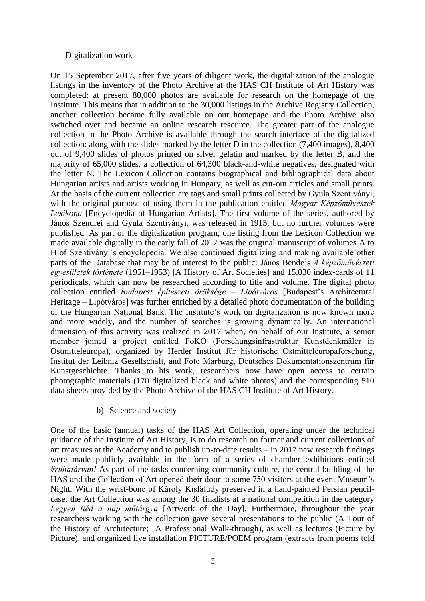## Digitalization work

On 15 September 2017, after five years of diligent work, the digitalization of the analogue listings in the inventory of the Photo Archive at the HAS CH Institute of Art History was completed: at present 80,000 photos are available for research on the homepage of the Institute. This means that in addition to the 30,000 listings in the Archive Registry Collection, another collection became fully available on our homepage and the Photo Archive also switched over and became an online research resource. The greater part of the analogue collection in the Photo Archive is available through the search interface of the digitalized collection: along with the slides marked by the letter D in the collection (7,400 images), 8,400 out of 9,400 slides of photos printed on silver gelatin and marked by the letter B, and the majority of 65,000 slides, a collection of 64,300 black-and-white negatives, designated with the letter N. The Lexicon Collection contains biographical and bibliographical data about Hungarian artists and artists working in Hungary, as well as cut-out articles and small prints. At the basis of the current collection are tags and small prints collected by Gyula Szentiványi, with the original purpose of using them in the publication entitled *Magyar Képzőművészek Lexikona* [Encyclopedia of Hungarian Artists]. The first volume of the series, authored by János Szendrei and Gyula Szentiványi, was released in 1915, but no further volumes were published. As part of the digitalization program, one listing from the Lexicon Collection we made available digitally in the early fall of 2017 was the original manuscript of volumes A to H of Szentiványi's encyclopedia. We also continued digitalizing and making available other parts of the Database that may be of interest to the public: János Bende's *[A képzőművészeti](http://adattar.mi.btk.mta.hu/gyujtemenyek/bende-janos/)  [egyesületek története](http://adattar.mi.btk.mta.hu/gyujtemenyek/bende-janos/)* (1951–1953) [A History of Art Societies] and 15,030 index-cards of 11 periodicals, which can now be researched according to title and volume. The digital photo collection entitled *Budapest építészeti öröksége – Lipótváros* [Budapest's Architectural Heritage – Lipótváros] was further enriched by a detailed photo documentation of the building of the Hungarian National Bank. The Institute's work on digitalization is now known more and more widely, and the number of searches is growing dynamically. An international dimension of this activity was realized in 2017 when, on behalf of our Institute, a senior member joined a project entitled FoKO (Forschungsinfrastruktur Kunstdenkmäler in Ostmitteleuropa), organized by Herder Institut für historische Ostmitteleuropaforschung, Institut der Leibniz Gesellschaft, and Foto Marburg, Deutsches Dokumentationszentrum für Kunstgeschichte. Thanks to his work, researchers now have open access to certain photographic materials (170 digitalized black and white photos) and the corresponding 510 data sheets provided by the Photo Archive of the HAS CH Institute of Art History.

b) Science and society

One of the basic (annual) tasks of the HAS Art Collection, operating under the technical guidance of the Institute of Art History, is to do research on former and current collections of art treasures at the Academy and to publish up-to-date results – in 2017 new research findings were made publicly available in the form of a series of chamber exhibitions entitled *#ruhatárvan!* As part of the tasks concerning community culture, the central building of the HAS and the Collection of Art opened their door to some 750 visitors at the event Museum's Night. With the wrist-bone of Károly Kisfaludy preserved in a hand-painted Persian pencilcase, the Art Collection was among the 30 finalists at a national competition in the category *Legyen tiéd a nap műtárgya* [Artwork of the Day]. Furthermore, throughout the year researchers working with the collection gave several presentations to the public (A Tour of the History of Architecture; A Professional Walk-through), as well as lectures (Picture by Picture), and organized live installation PICTURE/POEM program (extracts from poems told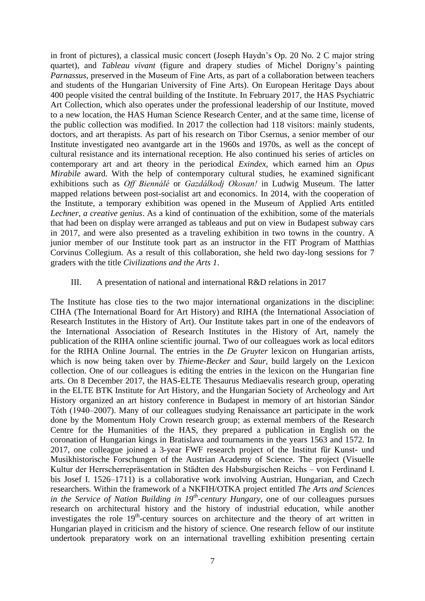in front of pictures), a classical music concert (Joseph Haydn's Op. 20 No. 2 C major string quartet), and *Tableau vivant* (figure and drapery studies of Michel Dorigny's painting *Parnassus*, preserved in the Museum of Fine Arts, as part of a collaboration between teachers and students of the Hungarian University of Fine Arts). On European Heritage Days about 400 people visited the central building of the Institute. In February 2017, the HAS Psychiatric Art Collection, which also operates under the professional leadership of our Institute, moved to a new location, the HAS Human Science Research Center, and at the same time, license of the public collection was modified. In 2017 the collection had 118 visitors: mainly students, doctors, and art therapists. As part of his research on Tibor Csernus, a senior member of our Institute investigated neo avantgarde art in the 1960s and 1970s, as well as the concept of cultural resistance and its international reception. He also continued his series of articles on contemporary art and art theory in the periodical *Exindex*, which earned him an *Opus Mirabile* award. With the help of contemporary cultural studies, he examined significant exhibitions such as *Off Biennálé* or *Gazdálkodj Okosan!* in Ludwig Museum. The latter mapped relations between post-socialist art and economics. In 2014, with the cooperation of the Institute, a temporary exhibition was opened in the Museum of Applied Arts entitled *Lechner, a creative genius*. As a kind of continuation of the exhibition, some of the materials that had been on display were arranged as tableaus and put on view in Budapest subway cars in 2017, and were also presented as a traveling exhibition in two towns in the country. A junior member of our Institute took part as an instructor in the FIT Program of Matthias Corvinus Collegium. As a result of this collaboration, she held two day-long sessions for 7 graders with the title *Civilizations and the Arts 1*.

## III. A presentation of national and international R&D relations in 2017

The Institute has close ties to the two major international organizations in the discipline: CIHA (The International Board for Art History) and RIHA (the International Association of Research Institutes in the History of Art). Our Institute takes part in one of the endeavors of the International Association of Research Institutes in the History of Art, namely the publication of the RIHA online scientific journal. Two of our colleagues work as local editors for the RIHA Online Journal. The entries in the *De Gruyter* lexicon on Hungarian artists, which is now being taken over by *Thieme-Becker* and *Saur*, build largely on the Lexicon collection. One of our colleagues is editing the entries in the lexicon on the Hungarian fine arts. On 8 December 2017, the HAS-ELTE Thesaurus Mediaevalis research group, operating in the ELTE BTK Institute for Art History, and the Hungarian Society of Archeology and Art History organized an art history conference in Budapest in memory of art historian Sándor Tóth (1940–2007). Many of our colleagues studying Renaissance art participate in the work done by the Momentum Holy Crown research group; as external members of the Research Centre for the Humanities of the HAS, they prepared a publication in English on the coronation of Hungarian kings in Bratislava and tournaments in the years 1563 and 1572. In 2017, one colleague joined a 3-year FWF research project of the Institut für Kunst- und Musikhistorische Forschungen of the Austrian Academy of Science. The project (Visuelle Kultur der Herrscherrepräsentation in Städten des Habsburgischen Reichs – von Ferdinand I. bis Josef I. 1526–1711) is a collaborative work involving Austrian, Hungarian, and Czech researchers. Within the framework of a NKFIH/OTKA project entitled *The Arts and Sciences in the Service of Nation Building in 19th -century Hungary*, one of our colleagues pursues research on architectural history and the history of industrial education, while another investigates the role 19<sup>th</sup>-century sources on architecture and the theory of art written in Hungarian played in criticism and the history of science. One research fellow of our institute undertook preparatory work on an international travelling exhibition presenting certain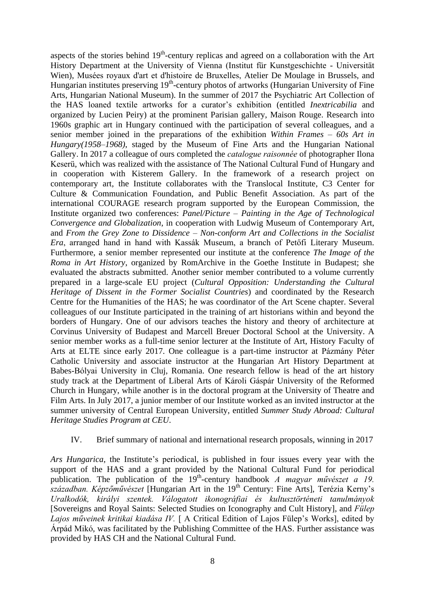aspects of the stories behind  $19<sup>th</sup>$ -century replicas and agreed on a collaboration with the Art History Department at the University of Vienna (Institut für Kunstgeschichte - Universität Wien), [Musées royaux d'art et d'histoire de Bruxelles, A](https://fr.wikipedia.org/wiki/Mus%C3%A9es_royaux_d%27art_et_d%27histoire_de_Bruxelles)telier De Moulage in Brussels, and Hungarian institutes preserving 19<sup>th</sup>-century photos of artworks (Hungarian University of Fine Arts, Hungarian National Museum). In the summer of 2017 the Psychiatric Art Collection of the HAS loaned textile artworks for a curator's exhibition (entitled *Inextricabilia* and organized by Lucien Peiry) at the prominent Parisian gallery, Maison Rouge. Research into 1960s graphic art in Hungary continued with the participation of several colleagues, and a senior member joined in the preparations of the exhibition *Within Frames – 60s Art in Hungary(1958–1968)*, staged by the Museum of Fine Arts and the Hungarian National Gallery. In 2017 a colleague of ours completed the *catalogue raisonnée* of photographer Ilona Keserü, which was realized with the assistance of The National Cultural Fund of Hungary and in cooperation with Kisterem Gallery. In the framework of a research project on contemporary art, the Institute collaborates with the Translocal Institute, C3 Center for Culture & Communication Foundation, and Public Benefit Association. As part of the international COURAGE research program supported by the European Commission, the Institute organized two conferences: *Panel/Picture – Painting in the Age of Technological Convergence and Globalization*, in cooperation with Ludwig Museum of Contemporary Art, and *From the Grey Zone to Dissidence – Non-conform Art and Collections in the Socialist Era*, arranged hand in hand with Kassák Museum, a branch of Petőfi Literary Museum. Furthermore, a senior member represented our institute at the conference *The Image of the Roma in Art History*, organized by RomArchive in the Goethe Institute in Budapest; she evaluated the abstracts submitted. Another senior member contributed to a volume currently prepared in a large-scale EU project (*Cultural Opposition: Understanding the Cultural Heritage of Dissent in the Former Socialist Countries*) and coordinated by the Research Centre for the Humanities of the HAS; he was coordinator of the Art Scene chapter. Several colleagues of our Institute participated in the training of art historians within and beyond the borders of Hungary. One of our advisors teaches the history and theory of architecture at Corvinus University of Budapest and Marcell Breuer Doctoral School at the University. A senior member works as a full-time senior lecturer at the Institute of Art, History Faculty of Arts at ELTE since early 2017. One colleague is a part-time instructor at Pázmány Péter Catholic University and associate instructor at the Hungarian Art History Department at Babes-Bólyai University in Cluj, Romania. One research fellow is head of the art history study track at the Department of Liberal Arts of Károli Gáspár University of the Reformed Church in Hungary, while another is in the doctoral program at the University of Theatre and Film Arts. In July 2017, a junior member of our Institute worked as an invited instructor at the summer university of Central European University, entitled *Summer Study Abroad: Cultural Heritage Studies Program at CEU*.

## IV. Brief summary of national and international research proposals, winning in 2017

*Ars Hungarica*, the Institute's periodical, is published in four issues every year with the support of the HAS and a grant provided by the National Cultural Fund for periodical publication. The publication of the 19<sup>th</sup>-century handbook *A magyar művészet a 19*. *században. Képzőművészet* [Hungarian Art in the 19th Century: Fine Arts], Terézia Kerny's *Uralkodók, királyi szentek. Válogatott ikonográfiai és kultusztörténeti tanulmányok* [Sovereigns and Royal Saints: Selected Studies on Iconography and Cult History], and *Fülep Lajos műveinek kritikai kiadása IV.* [ A Critical Edition of Lajos Fülep's Works], edited by Árpád Mikó, was facilitated by the Publishing Committee of the HAS. Further assistance was provided by HAS CH and the National Cultural Fund.